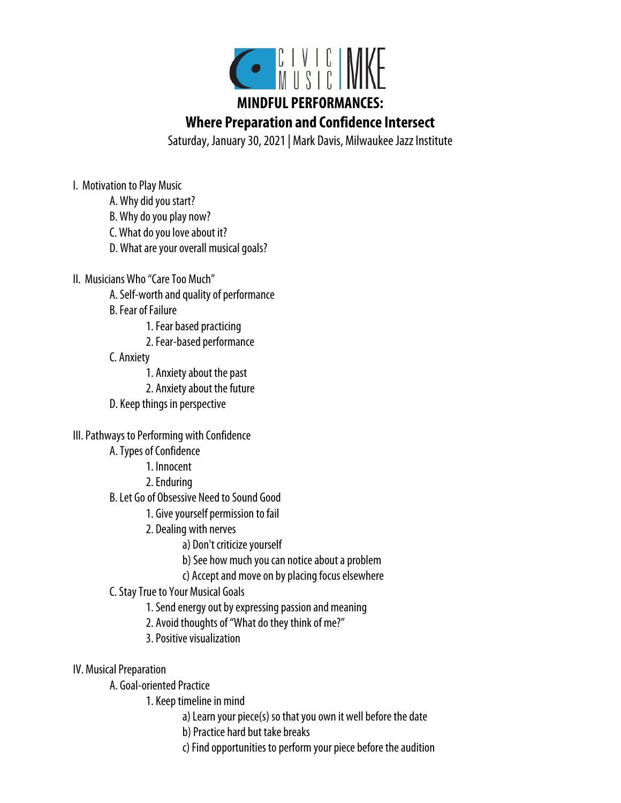

# **MINDFUL PERFORMANCES:**

**Where Preparation and Confidence Intersect**

Saturday, January 30, 2021 | Mark Davis, Milwaukee Jazz Institute

I. Motivation to Play Music

- A. Why did you start?
- B. Why do you play now?
- C. What do you love about it?
- D. What are your overall musical goals?

II. Musicians Who "Care Too Much"

- A. Self-worth and quality of performance
- B. Fear of Failure
	- 1. Fear based practicing
	- 2. Fear-based performance

# C. Anxiety

- 1. Anxiety about the past
- 2. Anxiety about the future
- D. Keep things in perspective

# III. Pathways to Performing with Confidence

- A. Types of Confidence
	- 1. Innocent
	- 2. Enduring
- B. Let Go of Obsessive Need to Sound Good
	- 1. Give yourself permission to fail
	- 2. Dealing with nerves
		- a) Don't criticize yourself
		- b) See how much you can notice about a problem
		- c) Accept and move on by placing focus elsewhere
- C. Stay True to Your Musical Goals
	- 1. Send energy out by expressing passion and meaning
	- 2. Avoid thoughts of "What do they think of me?"
	- 3. Positive visualization
- IV. Musical Preparation
	- A. Goal-oriented Practice
		- 1. Keep timeline in mind
			- a) Learn your piece(s) so that you own it well before the date
			- b) Practice hard but take breaks
			- c) Find opportunities to perform your piece before the audition